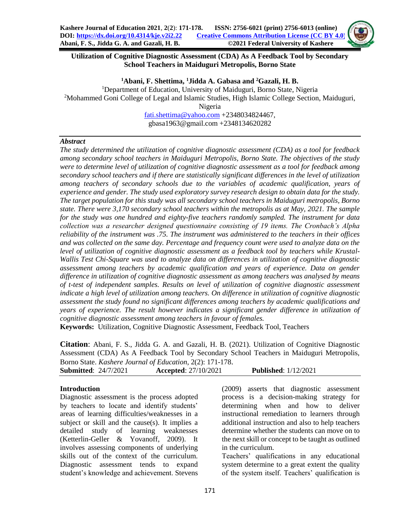## **Utilization of Cognitive Diagnostic Assessment (CDA) As A Feedback Tool by Secondary School Teachers in Maiduguri Metropolis, Borno State**

**<sup>1</sup>Abani, F. Shettima, <sup>1</sup>Jidda A. Gabasa and <sup>2</sup>Gazali, H. B.** <sup>1</sup>Department of Education, University of Maiduguri, Borno State, Nigeria <sup>2</sup>Mohammed Goni College of Legal and Islamic Studies, High Islamic College Section, Maiduguri, Nigeria

[fati.shettima@yahoo.com](mailto:fati.shettima@yahoo.com) +2348034824467, gbasa1963@gmail.com +2348134620282

### *Abstract*

*The study determined the utilization of cognitive diagnostic assessment (CDA) as a tool for feedback among secondary school teachers in Maiduguri Metropolis, Borno State. The objectives of the study were to determine level of utilization of cognitive diagnostic assessment as a tool for feedback among secondary school teachers and if there are statistically significant differences in the level of utilization among teachers of secondary schools due to the variables of academic qualification, years of experience and gender. The study used exploratory survey research design to obtain data for the study. The target population for this study was all secondary school teachers in Maiduguri metropolis, Borno state. There were 3,170 secondary school teachers within the metropolis as at May, 2021. The sample for the study was one hundred and eighty-five teachers randomly sampled. The instrument for data collection was a researcher designed questionnaire consisting of 19 items. The Cronbach's Alpha reliability of the instrument was .75. The instrument was administered to the teachers in their offices and was collected on the same day. Percentage and frequency count were used to analyze data on the level of utilization of cognitive diagnostic assessment as a feedback tool by teachers while Krustal-Wallis Test Chi-Square was used to analyze data on differences in utilization of cognitive diagnostic assessment among teachers by academic qualification and years of experience. Data on gender difference in utilization of cognitive diagnostic assessment as among teachers was analysed by means of t-test of independent samples. Results on level of utilization of cognitive diagnostic assessment indicate a high level of utilization among teachers. On difference in utilization of cognitive diagnostic assessment the study found no significant differences among teachers by academic qualifications and years of experience. The result however indicates a significant gender difference in utilization of cognitive diagnostic assessment among teachers in favour of females.*

**Keywords:** Utilization, Cognitive Diagnostic Assessment, Feedback Tool, Teachers

**Citation**: Abani, F. S., Jidda G. A. and Gazali, H. B. (2021). Utilization of Cognitive Diagnostic Assessment (CDA) As A Feedback Tool by Secondary School Teachers in Maiduguri Metropolis, Borno State. *Kashere Journal of Education*, 2(2): 171-178.

| DOITIO DIAIC. KUSHETE JOUTHUL OF LUMENTON, $Z(Z)$ , 171-170.<br><b>Submitted: 24/7/2021</b> |  | <b>Accepted:</b> 27/10/2021 | <b>Published:</b> 1/12/2021 |  |
|---------------------------------------------------------------------------------------------|--|-----------------------------|-----------------------------|--|
|                                                                                             |  |                             |                             |  |

## **Introduction**

Diagnostic assessment is the process adopted by teachers to locate and identify students' areas of learning difficulties/weaknesses in a subject or skill and the cause(s). It implies a detailed study of learning weaknesses (Ketterlin-Geller & Yovanoff, 2009). It involves assessing components of underlying skills out of the context of the curriculum. Diagnostic assessment tends to expand student's knowledge and achievement. Stevens

(2009) asserts that diagnostic assessment process is a decision-making strategy for determining when and how to deliver instructional remediation to learners through additional instruction and also to help teachers determine whether the students can move on to the next skill or concept to be taught as outlined in the curriculum.

Teachers' qualifications in any educational system determine to a great extent the quality of the system itself. Teachers' qualification is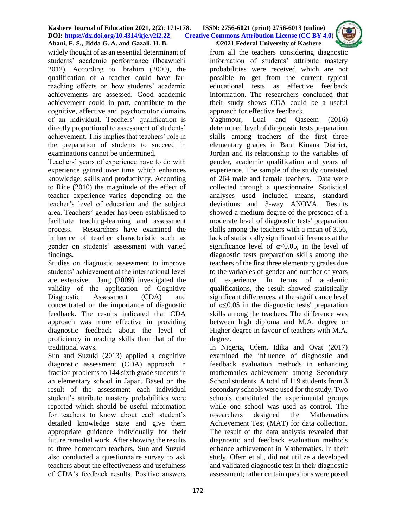

widely thought of as an essential determinant of students' academic performance (Ibeawuchi 2012). According to Ibrahim (2000), the qualification of a teacher could have farreaching effects on how students' academic achievements are assessed. Good academic achievement could in part, contribute to the cognitive, affective and psychomotor domains of an individual. Teachers' qualification is directly proportional to assessment of students' achievement. This implies that teachers' role in the preparation of students to succeed in examinations cannot be undermined.

Teachers' years of experience have to do with experience gained over time which enhances knowledge, skills and productivity. According to Rice (2010) the magnitude of the effect of teacher experience varies depending on the teacher's level of education and the subject area. Teachers' gender has been established to facilitate teaching-learning and assessment process. Researchers have examined the influence of teacher characteristic such as gender on students' assessment with varied findings.

Studies on diagnostic assessment to improve students' achievement at the international level are extensive. Jang (2009) investigated the validity of the application of Cognitive Diagnostic Assessment (CDA) and concentrated on the importance of diagnostic feedback. The results indicated that CDA approach was more effective in providing diagnostic feedback about the level of proficiency in reading skills than that of the traditional ways.

Sun and Suzuki (2013) applied a cognitive diagnostic assessment (CDA) approach in fraction problems to 144 sixth grade students in an elementary school in Japan. Based on the result of the assessment each individual student's attribute mastery probabilities were reported which should be useful information for teachers to know about each student's detailed knowledge state and give them appropriate guidance individually for their future remedial work. After showing the results to three homeroom teachers, Sun and Suzuki also conducted a questionnaire survey to ask teachers about the effectiveness and usefulness of CDA's feedback results. Positive answers

from all the teachers considering diagnostic information of students' attribute mastery probabilities were received which are not possible to get from the current typical educational tests as effective feedback information. The researchers concluded that their study shows CDA could be a useful approach for effective feedback.

Yaghmour, Luai and Qaseem (2016) determined level of diagnostic tests preparation skills among teachers of the first three elementary grades in Bani Kinana District, Jordan and its relationship to the variables of gender, academic qualification and years of experience. The sample of the study consisted of 264 male and female teachers. Data were collected through a questionnaire. Statistical analyses used included means, standard deviations and 3-way ANOVA. Results showed a medium degree of the presence of a moderate level of diagnostic tests' preparation skills among the teachers with a mean of 3.56, lack of statistically significant differences at the significance level of  $\alpha \leq 0.05$ , in the level of diagnostic tests preparation skills among the teachers of the first three elementary grades due to the variables of gender and number of years of experience. In terms of academic qualifications, the result showed statistically significant differences, at the significance level of  $\alpha \leq 0.05$  in the diagnostic tests' preparation skills among the teachers. The difference was between high diploma and M.A. degree or Higher degree in favour of teachers with M.A. degree.

In Nigeria, Ofem, Idika and Ovat (2017) examined the influence of diagnostic and feedback evaluation methods in enhancing mathematics achievement among Secondary School students. A total of 119 students from 3 secondary schools were used for the study. Two schools constituted the experimental groups while one school was used as control. The researchers designed the Mathematics Achievement Test (MAT) for data collection. The result of the data analysis revealed that diagnostic and feedback evaluation methods enhance achievement in Mathematics. In their study, Ofem et al., did not utilize a developed and validated diagnostic test in their diagnostic assessment; rather certain questions were posed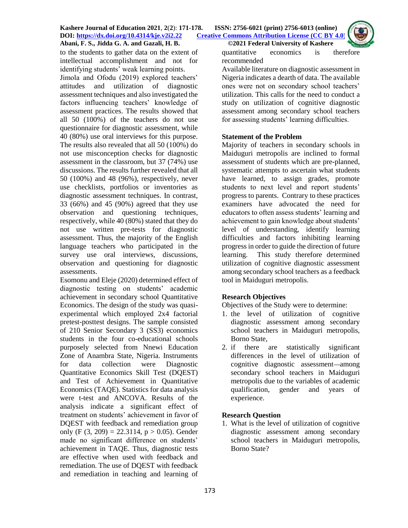to the students to gather data on the extent of intellectual accomplishment and not for identifying students' weak learning points.

Jimola and Ofodu (2019) explored teachers' attitudes and utilization of diagnostic assessment techniques and also investigated the factors influencing teachers' knowledge of assessment practices. The results showed that all 50 (100%) of the teachers do not use questionnaire for diagnostic assessment, while 40 (80%) use oral interviews for this purpose. The results also revealed that all 50 (100%) do not use misconception checks for diagnostic assessment in the classroom, but 37 (74%) use discussions. The results further revealed that all 50 (100%) and 48 (96%), respectively, never use checklists, portfolios or inventories as diagnostic assessment techniques. In contrast, 33 (66%) and 45 (90%) agreed that they use observation and questioning techniques, respectively, while 40 (80%) stated that they do not use written pre-tests for diagnostic assessment. Thus, the majority of the English language teachers who participated in the survey use oral interviews, discussions, observation and questioning for diagnostic assessments.

Esomonu and Eleje (2020) determined effect of diagnostic testing on students' academic achievement in secondary school Quantitative Economics. The design of the study was quasiexperimental which employed 2x4 factorial pretest-posttest designs. The sample consisted of 210 Senior Secondary 3 (SS3) economics students in the four co-educational schools purposely selected from Nnewi Education Zone of Anambra State, Nigeria. Instruments for data collection were Diagnostic Quantitative Economics Skill Test (DQEST) and Test of Achievement in Quantitative Economics (TAQE). Statistics for data analysis were t-test and ANCOVA. Results of the analysis indicate a significant effect of treatment on students' achievement in favor of DQEST with feedback and remediation group only (F  $(3, 209) = 22.3114$ , p  $> 0.05$ ). Gender made no significant difference on students' achievement in TAQE. Thus, diagnostic tests are effective when used with feedback and remediation. The use of DQEST with feedback and remediation in teaching and learning of

quantitative economics is therefore recommended

Available literature on diagnostic assessment in Nigeria indicates a dearth of data. The available ones were not on secondary school teachers' utilization. This calls for the need to conduct a study on utilization of cognitive diagnostic assessment among secondary school teachers for assessing students' learning difficulties.

# **Statement of the Problem**

Majority of teachers in secondary schools in Maiduguri metropolis are inclined to formal assessment of students which are pre-planned, systematic attempts to ascertain what students have learned, to assign grades, promote students to next level and report students' progress to parents. Contrary to these practices examiners have advocated the need for educators to often assess students' learning and achievement to gain knowledge about students' level of understanding, identify learning difficulties and factors inhibiting learning progress in order to guide the direction of future learning. This study therefore determined utilization of cognitive diagnostic assessment among secondary school teachers as a feedback tool in Maiduguri metropolis.

# **Research Objectives**

Objectives of the Study were to determine:

- 1. the level of utilization of cognitive diagnostic assessment among secondary school teachers in Maiduguri metropolis, Borno State,
- 2. if there are statistically significant differences in the level of utilization of cognitive diagnostic assessment—among secondary school teachers in Maiduguri metropolis due to the variables of academic qualification, gender and years of experience.

# **Research Question**

1. What is the level of utilization of cognitive diagnostic assessment among secondary school teachers in Maiduguri metropolis, Borno State?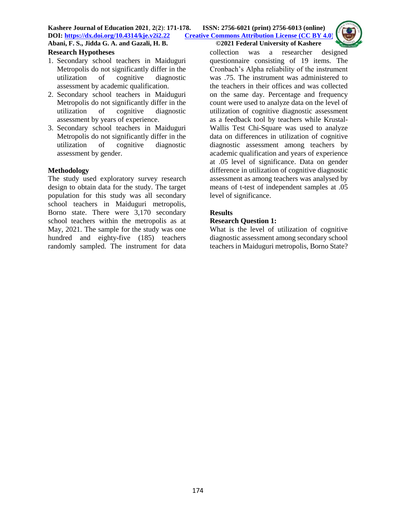### **Research Hypotheses**

- 1. Secondary school teachers in Maiduguri Metropolis do not significantly differ in the utilization of cognitive diagnostic assessment by academic qualification.
- 2. Secondary school teachers in Maiduguri Metropolis do not significantly differ in the utilization of cognitive diagnostic assessment by years of experience.
- 3. Secondary school teachers in Maiduguri Metropolis do not significantly differ in the utilization of cognitive diagnostic assessment by gender.

#### **Methodology**

The study used exploratory survey research design to obtain data for the study. The target population for this study was all secondary school teachers in Maiduguri metropolis, Borno state. There were 3,170 secondary school teachers within the metropolis as at May, 2021. The sample for the study was one hundred and eighty-five (185) teachers randomly sampled. The instrument for data collection was a researcher designed questionnaire consisting of 19 items. The Cronbach's Alpha reliability of the instrument was .75. The instrument was administered to the teachers in their offices and was collected on the same day. Percentage and frequency count were used to analyze data on the level of utilization of cognitive diagnostic assessment as a feedback tool by teachers while Krustal-Wallis Test Chi-Square was used to analyze data on differences in utilization of cognitive diagnostic assessment among teachers by academic qualification and years of experience at .05 level of significance. Data on gender difference in utilization of cognitive diagnostic assessment as among teachers was analysed by means of t-test of independent samples at .05 level of significance.

## **Results**

## **Research Question 1:**

What is the level of utilization of cognitive diagnostic assessment among secondary school teachers in Maiduguri metropolis, Borno State?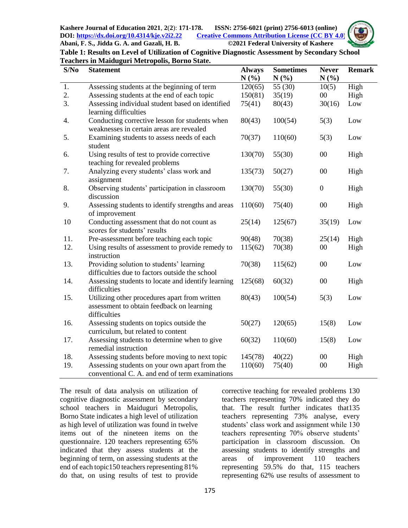

| Table 1: Results on Level of Utilization of Cognitive Diagnostic Assessment by Secondary School |  |
|-------------------------------------------------------------------------------------------------|--|
| <b>Teachers in Maiduguri Metropolis, Borno State.</b>                                           |  |

| S/No | <b>Statement</b>                                                   | <b>Always</b> | <b>Sometimes</b> | <b>Never</b>     | <b>Remark</b> |
|------|--------------------------------------------------------------------|---------------|------------------|------------------|---------------|
|      |                                                                    | $N(\%)$       | N(%)             | N(%)             |               |
| 1.   | Assessing students at the beginning of term                        | 120(65)       | 55 (30)          | 10(5)            | High          |
| 2.   | Assessing students at the end of each topic                        | 150(81)       | 35(19)           | 00               | High          |
| 3.   | Assessing individual student based on identified                   | 75(41)        | 80(43)           | 30(16)           | Low           |
|      | learning difficulties                                              |               |                  |                  |               |
| 4.   | Conducting corrective lesson for students when                     | 80(43)        | 100(54)          | 5(3)             | Low           |
|      | weaknesses in certain areas are revealed                           |               |                  |                  |               |
| 5.   | Examining students to assess needs of each<br>student              | 70(37)        | 110(60)          | 5(3)             | Low           |
| 6.   | Using results of test to provide corrective                        | 130(70)       | 55(30)           | $00\,$           | High          |
|      | teaching for revealed problems                                     |               |                  |                  |               |
| 7.   | Analyzing every students' class work and                           | 135(73)       | 50(27)           | 00               | High          |
|      | assignment                                                         |               |                  |                  |               |
| 8.   | Observing students' participation in classroom                     | 130(70)       | 55(30)           | $\boldsymbol{0}$ | High          |
|      | discussion                                                         |               |                  |                  |               |
| 9.   | Assessing students to identify strengths and areas                 | 110(60)       | 75(40)           | 00               | High          |
|      | of improvement                                                     |               |                  |                  |               |
| 10   | Conducting assessment that do not count as                         | 25(14)        | 125(67)          | 35(19)           | Low           |
|      | scores for students' results                                       |               |                  |                  |               |
| 11.  | Pre-assessment before teaching each topic                          | 90(48)        | 70(38)           | 25(14)           | High          |
| 12.  | Using results of assessment to provide remedy to                   | 115(62)       | 70(38)           | $00\,$           | High          |
|      | instruction                                                        |               |                  |                  |               |
| 13.  | Providing solution to students' learning                           | 70(38)        | 115(62)          | $00\,$           | Low           |
|      | difficulties due to factors outside the school                     |               |                  |                  |               |
| 14.  | Assessing students to locate and identify learning<br>difficulties | 125(68)       | 60(32)           | $00\,$           | High          |
| 15.  | Utilizing other procedures apart from written                      | 80(43)        | 100(54)          | 5(3)             | Low           |
|      | assessment to obtain feedback on learning                          |               |                  |                  |               |
|      | difficulties                                                       |               |                  |                  |               |
| 16.  | Assessing students on topics outside the                           | 50(27)        | 120(65)          | 15(8)            | Low           |
|      | curriculum, but related to content                                 |               |                  |                  |               |
| 17.  | Assessing students to determine when to give                       | 60(32)        | 110(60)          | 15(8)            | Low           |
|      | remedial instruction                                               |               |                  |                  |               |
| 18.  | Assessing students before moving to next topic                     | 145(78)       | 40(22)           | 00               | High          |
| 19.  | Assessing students on your own apart from the                      | 110(60)       | 75(40)           | 00               | High          |
|      | conventional C. A. and end of term examinations                    |               |                  |                  |               |

The result of data analysis on utilization of cognitive diagnostic assessment by secondary school teachers in Maiduguri Metropolis, Borno State indicates a high level of utilization as high level of utilization was found in twelve items out of the nineteen items on the questionnaire. 120 teachers representing 65% indicated that they assess students at the beginning of term, on assessing students at the end of each topic150 teachers representing 81% do that, on using results of test to provide

corrective teaching for revealed problems 130 teachers representing 70% indicated they do that. The result further indicates that135 teachers representing 73% analyse, every students' class work and assignment while 130 teachers representing 70% observe students' participation in classroom discussion. On assessing students to identify strengths and areas of improvement 110 teachers representing 59.5% do that, 115 teachers representing 62% use results of assessment to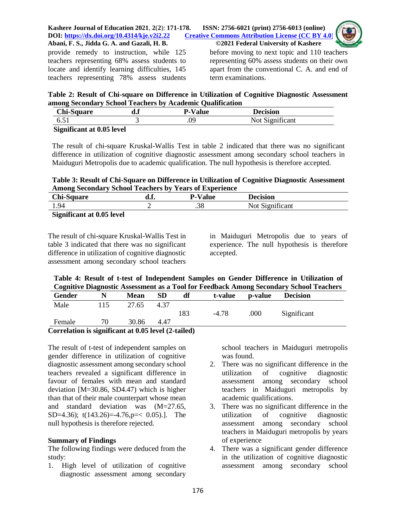

provide remedy to instruction, while 125 teachers representing 68% assess students to locate and identify learning difficulties, 145 teachers representing 78% assess students

before moving to next topic and 110 teachers representing 60% assess students on their own apart from the conventional C. A. and end of term examinations.

**Table 2: Result of Chi-square on Difference in Utilization of Cognitive Diagnostic Assessment among Secondary School Teachers by Academic Qualification**

| <b>Chi-Square</b>         | P-Value | Decision        |
|---------------------------|---------|-----------------|
| 6.51                      |         | Not Significant |
| Significant at 0.05 level |         |                 |

The result of chi-square Kruskal-Wallis Test in table 2 indicated that there was no significant difference in utilization of cognitive diagnostic assessment among secondary school teachers in Maiduguri Metropolis due to academic qualification. The null hypothesis is therefore accepted.

**Table 3: Result of Chi-Square on Difference in Utilization of Cognitive Diagnostic Assessment Among Secondary School Teachers by Years of Experience**

| <b>Chi-Square</b>                                                                                                                                                                                                                                                                                                                  | а.ғ. | <b>P-Value</b> | <b>Decision</b> |  |
|------------------------------------------------------------------------------------------------------------------------------------------------------------------------------------------------------------------------------------------------------------------------------------------------------------------------------------|------|----------------|-----------------|--|
| 1.94                                                                                                                                                                                                                                                                                                                               |      | .38            | Not Significant |  |
| $\mathbf{C}$ $\mathbf{C}$ $\mathbf{C}$ $\mathbf{C}$ $\mathbf{C}$ $\mathbf{C}$ $\mathbf{C}$ $\mathbf{C}$ $\mathbf{C}$ $\mathbf{C}$ $\mathbf{C}$ $\mathbf{C}$ $\mathbf{C}$ $\mathbf{C}$ $\mathbf{C}$ $\mathbf{C}$ $\mathbf{C}$ $\mathbf{C}$ $\mathbf{C}$ $\mathbf{C}$ $\mathbf{C}$ $\mathbf{C}$ $\mathbf{C}$ $\mathbf{C}$ $\mathbf{$ |      |                |                 |  |

**Significant at 0.05 level**

The result of chi-square Kruskal-Wallis Test in table 3 indicated that there was no significant difference in utilization of cognitive diagnostic assessment among secondary school teachers

in Maiduguri Metropolis due to years of experience. The null hypothesis is therefore accepted.

**Table 4: Result of t-test of Independent Samples on Gender Difference in Utilization of Cognitive Diagnostic Assessment as a Tool for Feedback Among Secondary School Teachers**

| Gender                                              |     | <b>Mean</b> | <b>SD</b> | df  |         | t-value p-value | <b>Decision</b> |  |
|-----------------------------------------------------|-----|-------------|-----------|-----|---------|-----------------|-----------------|--|
| Male                                                | 115 | 27.65       | 4.37      |     |         |                 |                 |  |
|                                                     |     |             |           | 183 | $-4.78$ | .000            | Significant     |  |
| Female                                              | 70  | 30.86       | 4.47      |     |         |                 |                 |  |
| Correlation is significant at 0.05 level (2-tailed) |     |             |           |     |         |                 |                 |  |

**Correlation is significant at 0.05 level (2-tailed)**

The result of t-test of independent samples on gender difference in utilization of cognitive diagnostic assessment among secondary school teachers revealed a significant difference in favour of females with mean and standard deviation [M=30.86, SD4.47) which is higher than that of their male counterpart whose mean and standard deviation was (M=27.65, SD=4.36);  $t(143.26) = -4.76$ ,  $p = < 0.05$ ). The null hypothesis is therefore rejected.

## **Summary of Findings**

The following findings were deduced from the study:

1. High level of utilization of cognitive diagnostic assessment among secondary

school teachers in Maiduguri metropolis was found.

- 2. There was no significant difference in the utilization of cognitive diagnostic assessment among secondary school teachers in Maiduguri metropolis by academic qualifications.
- 3. There was no significant difference in the utilization of cognitive diagnostic assessment among secondary school teachers in Maiduguri metropolis by years of experience
- 4. There was a significant gender difference in the utilization of cognitive diagnostic assessment among secondary school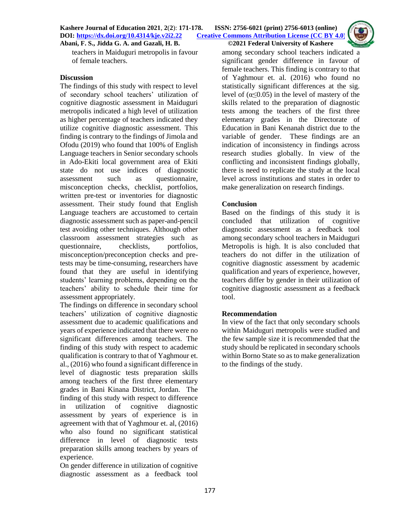**Kashere Journal of Education 2021**, **2**(**2**): **171-178. ISSN: 2756-6021 (print) 2756-6013 (online) DOI: <https://dx.doi.org/10.4314/kje.v2i2.22> [Creative Commons Attribution License](http://creativecommons.org/licenses/by/4.0/) (CC BY 4.0)** 

**Abani, F. S., Jidda G. A. and Gazali, H. B. ©2021 Federal University of Kashere**



teachers in Maiduguri metropolis in favour of female teachers.

## **Discussion**

The findings of this study with respect to level of secondary school teachers' utilization of cognitive diagnostic assessment in Maiduguri metropolis indicated a high level of utilization as higher percentage of teachers indicated they utilize cognitive diagnostic assessment. This finding is contrary to the findings of Jimola and Ofodu (2019) who found that 100% of English Language teachers in Senior secondary schools in Ado-Ekiti local government area of Ekiti state do not use indices of diagnostic assessment such as questionnaire, misconception checks, checklist, portfolios, written pre-test or inventories for diagnostic assessment. Their study found that English Language teachers are accustomed to certain diagnostic assessment such as paper-and-pencil test avoiding other techniques. Although other classroom assessment strategies such as questionnaire, checklists, portfolios, misconception/preconception checks and pretests may be time-consuming, researchers have found that they are useful in identifying students' learning problems, depending on the teachers' ability to schedule their time for assessment appropriately.

The findings on difference in secondary school teachers' utilization of cognitive diagnostic assessment due to academic qualifications and years of experience indicated that there were no significant differences among teachers. The finding of this study with respect to academic qualification is contrary to that of Yaghmour et. al., (2016) who found a significant difference in level of diagnostic tests preparation skills among teachers of the first three elementary grades in Bani Kinana District, Jordan. The finding of this study with respect to difference in utilization of cognitive diagnostic assessment by years of experience is in agreement with that of Yaghmour et. al, (2016) who also found no significant statistical difference in level of diagnostic tests preparation skills among teachers by years of experience.

On gender difference in utilization of cognitive diagnostic assessment as a feedback tool

among secondary school teachers indicated a significant gender difference in favour of female teachers. This finding is contrary to that of Yaghmour et. al. (2016) who found no statistically significant differences at the sig. level of ( $\alpha \leq 0.05$ ) in the level of mastery of the skills related to the preparation of diagnostic tests among the teachers of the first three elementary grades in the Directorate of Education in Bani Kenanah district due to the variable of gender. These findings are an indication of inconsistency in findings across research studies globally. In view of the conflicting and inconsistent findings globally, there is need to replicate the study at the local level across institutions and states in order to make generalization on research findings.

## **Conclusion**

Based on the findings of this study it is concluded that utilization of cognitive diagnostic assessment as a feedback tool among secondary school teachers in Maiduguri Metropolis is high. It is also concluded that teachers do not differ in the utilization of cognitive diagnostic assessment by academic qualification and years of experience, however, teachers differ by gender in their utilization of cognitive diagnostic assessment as a feedback tool.

## **Recommendation**

In view of the fact that only secondary schools within Maiduguri metropolis were studied and the few sample size it is recommended that the study should be replicated in secondary schools within Borno State so as to make generalization to the findings of the study.